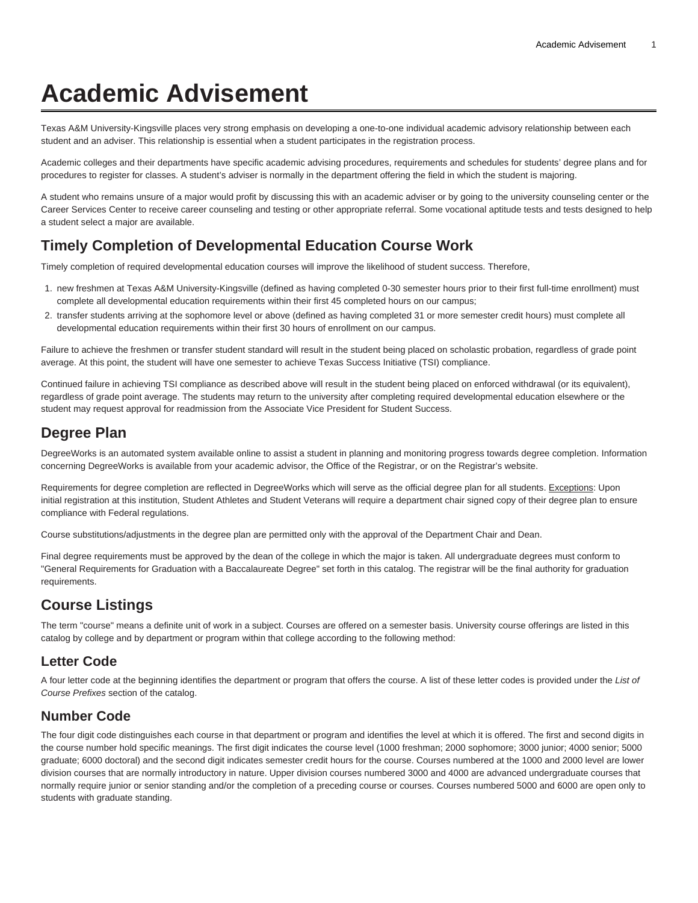# **Academic Advisement**

Texas A&M University-Kingsville places very strong emphasis on developing a one-to-one individual academic advisory relationship between each student and an adviser. This relationship is essential when a student participates in the registration process.

Academic colleges and their departments have specific academic advising procedures, requirements and schedules for students' degree plans and for procedures to register for classes. A student's adviser is normally in the department offering the field in which the student is majoring.

A student who remains unsure of a major would profit by discussing this with an academic adviser or by going to the university counseling center or the Career Services Center to receive career counseling and testing or other appropriate referral. Some vocational aptitude tests and tests designed to help a student select a major are available.

## **Timely Completion of Developmental Education Course Work**

Timely completion of required developmental education courses will improve the likelihood of student success. Therefore,

- 1. new freshmen at Texas A&M University-Kingsville (defined as having completed 0-30 semester hours prior to their first full-time enrollment) must complete all developmental education requirements within their first 45 completed hours on our campus;
- 2. transfer students arriving at the sophomore level or above (defined as having completed 31 or more semester credit hours) must complete all developmental education requirements within their first 30 hours of enrollment on our campus.

Failure to achieve the freshmen or transfer student standard will result in the student being placed on scholastic probation, regardless of grade point average. At this point, the student will have one semester to achieve Texas Success Initiative (TSI) compliance.

Continued failure in achieving TSI compliance as described above will result in the student being placed on enforced withdrawal (or its equivalent), regardless of grade point average. The students may return to the university after completing required developmental education elsewhere or the student may request approval for readmission from the Associate Vice President for Student Success.

## **Degree Plan**

DegreeWorks is an automated system available online to assist a student in planning and monitoring progress towards degree completion. Information concerning DegreeWorks is available from your academic advisor, the Office of the Registrar, or on the Registrar's website.

Requirements for degree completion are reflected in DegreeWorks which will serve as the official degree plan for all students. Exceptions: Upon initial registration at this institution, Student Athletes and Student Veterans will require a department chair signed copy of their degree plan to ensure compliance with Federal regulations.

Course substitutions/adjustments in the degree plan are permitted only with the approval of the Department Chair and Dean.

Final degree requirements must be approved by the dean of the college in which the major is taken. All undergraduate degrees must conform to "[General Requirements for Graduation with a Baccalaureate Degree"](https://catalog.tamuk.edu/undergraduate/general-requirements-graduation-baccalaureate-degree/) set forth in this catalog. The registrar will be the final authority for graduation requirements.

# **Course Listings**

The term "course" means a definite unit of work in a subject. Courses are offered on a semester basis. University course offerings are listed in this catalog by college and by department or program within that college according to the following method:

## **Letter Code**

A four letter code at the beginning identifies the department or program that offers the course. A list of these letter codes is provided under the List of Course Prefixes section of the catalog.

#### **Number Code**

The four digit code distinguishes each course in that department or program and identifies the level at which it is offered. The first and second digits in the course number hold specific meanings. The first digit indicates the course level (1000 freshman; 2000 sophomore; 3000 junior; 4000 senior; 5000 graduate; 6000 doctoral) and the second digit indicates semester credit hours for the course. Courses numbered at the 1000 and 2000 level are lower division courses that are normally introductory in nature. Upper division courses numbered 3000 and 4000 are advanced undergraduate courses that normally require junior or senior standing and/or the completion of a preceding course or courses. Courses numbered 5000 and 6000 are open only to students with graduate standing.